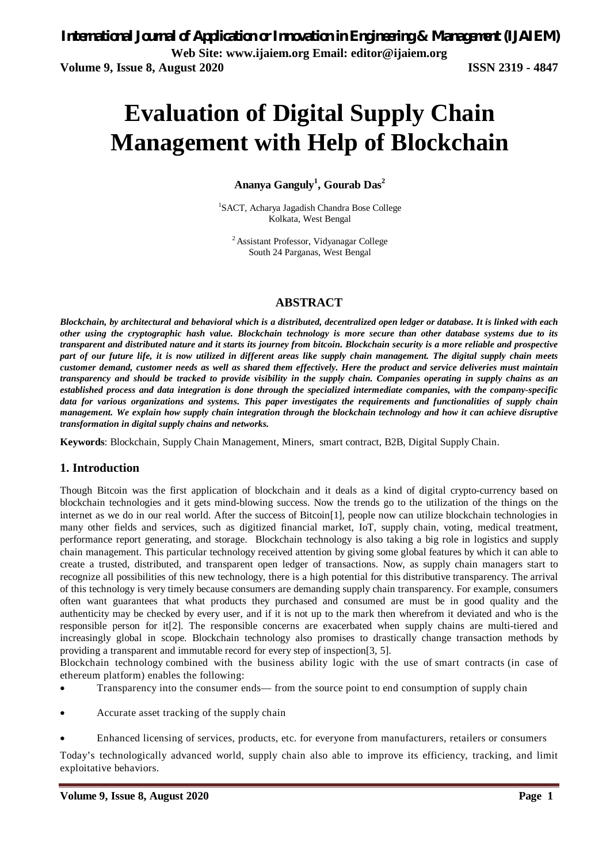# **Evaluation of Digital Supply Chain Management with Help of Blockchain**

**Ananya Ganguly<sup>1</sup> , Gourab Das<sup>2</sup>**

1 SACT, Acharya Jagadish Chandra Bose College Kolkata, West Bengal

<sup>2</sup>Assistant Professor, Vidyanagar College South 24 Parganas, West Bengal

# **ABSTRACT**

*Blockchain, by architectural and behavioral which is a distributed, decentralized open ledger or database. It is linked with each other using the cryptographic hash value. Blockchain technology is more secure than other database systems due to its transparent and distributed nature and it starts its journey from bitcoin. Blockchain security is a more reliable and prospective part of our future life, it is now utilized in different areas like supply chain management. The digital supply chain meets customer demand, customer needs as well as shared them effectively. Here the product and service deliveries must maintain transparency and should be tracked to provide visibility in the supply chain. Companies operating in supply chains as an established process and data integration is done through the specialized intermediate companies, with the company-specific data for various organizations and systems. This paper investigates the requirements and functionalities of supply chain management. We explain how supply chain integration through the blockchain technology and how it can achieve disruptive transformation in digital supply chains and networks.*

**Keywords**: Blockchain, Supply Chain Management, Miners, smart contract, B2B, Digital Supply Chain.

### **1. Introduction**

Though Bitcoin was the first application of blockchain and it deals as a kind of digital crypto-currency based on blockchain technologies and it gets mind-blowing success. Now the trends go to the utilization of the things on the internet as we do in our real world. After the success of Bitcoin[1], people now can utilize blockchain technologies in many other fields and services, such as digitized financial market, IoT, supply chain, voting, medical treatment, performance report generating, and storage. Blockchain technology is also taking a big role in logistics and supply chain management. This particular technology received attention by giving some global features by which it can able to create a trusted, distributed, and transparent open ledger of transactions. Now, as supply chain managers start to recognize all possibilities of this new technology, there is a high potential for this distributive transparency. The arrival of this technology is very timely because consumers are demanding supply chain transparency. For example, consumers often want guarantees that what products they purchased and consumed are must be in good quality and the authenticity may be checked by every user, and if it is not up to the mark then wherefrom it deviated and who is the responsible person for it[2]. The responsible concerns are exacerbated when supply chains are multi-tiered and increasingly global in scope. Blockchain technology also promises to drastically change transaction methods by providing a transparent and immutable record for every step of inspection[3, 5].

Blockchain technology combined with the business ability logic with the use of smart contracts (in case of ethereum platform) enables the following:

- Transparency into the consumer ends— from the source point to end consumption of supply chain
- Accurate asset tracking of the supply chain
- Enhanced licensing of services, products, etc. for everyone from manufacturers, retailers or consumers

Today's technologically advanced world, supply chain also able to improve its efficiency, tracking, and limit exploitative behaviors.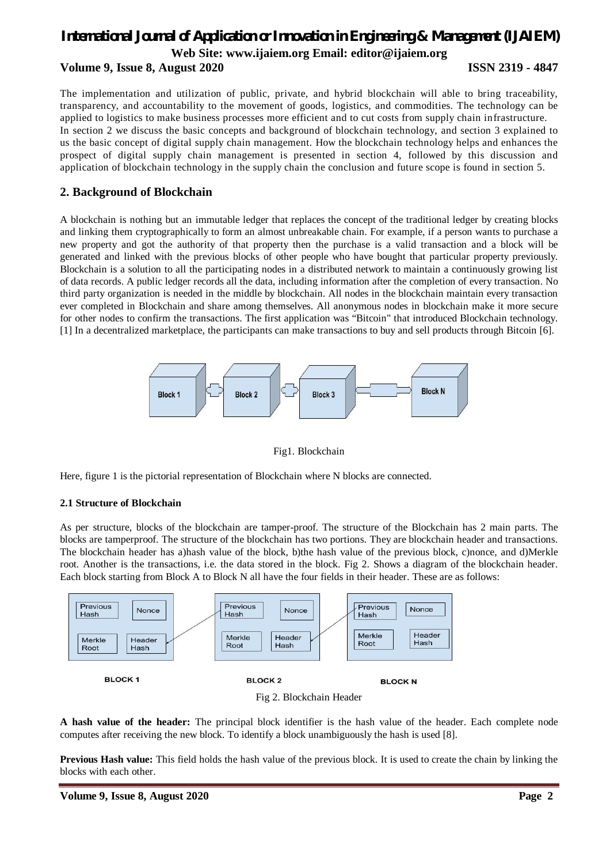# *International Journal of Application or Innovation in Engineering & Management (IJAIEM)* **Web Site: www.ijaiem.org Email: editor@ijaiem.org**

**Volume 9, Issue 8, August 2020 ISSN 2319 - 4847**

The implementation and utilization of public, private, and hybrid blockchain will able to bring traceability, transparency, and accountability to the movement of goods, logistics, and commodities. The technology can be applied to logistics to make business processes more efficient and to cut costs from supply chain infrastructure. In section 2 we discuss the basic concepts and background of blockchain technology, and section 3 explained to us the basic concept of digital supply chain management. How the blockchain technology helps and enhances the prospect of digital supply chain management is presented in section 4, followed by this discussion and application of blockchain technology in the supply chain the conclusion and future scope is found in section 5.

# **2. Background of Blockchain**

A blockchain is nothing but an immutable ledger that replaces the concept of the traditional ledger by creating blocks and linking them cryptographically to form an almost unbreakable chain. For example, if a person wants to purchase a new property and got the authority of that property then the purchase is a valid transaction and a block will be generated and linked with the previous blocks of other people who have bought that particular property previously. Blockchain is a solution to all the participating nodes in a distributed network to maintain a continuously growing list of data records. A public ledger records all the data, including information after the completion of every transaction. No third party organization is needed in the middle by blockchain. All nodes in the blockchain maintain every transaction ever completed in Blockchain and share among themselves. All anonymous nodes in blockchain make it more secure for other nodes to confirm the transactions. The first application was "Bitcoin" that introduced Blockchain technology. [1] In a decentralized marketplace, the participants can make transactions to buy and sell products through Bitcoin [6].



Fig1. Blockchain

Here, figure 1 is the pictorial representation of Blockchain where N blocks are connected.

#### **2.1 Structure of Blockchain**

As per structure, blocks of the blockchain are tamper-proof. The structure of the Blockchain has 2 main parts. The blocks are tamperproof. The structure of the blockchain has two portions. They are blockchain header and transactions. The blockchain header has a)hash value of the block, b)the hash value of the previous block, c)nonce, and d)Merkle root. Another is the transactions, i.e. the data stored in the block. Fig 2. Shows a diagram of the blockchain header. Each block starting from Block A to Block N all have the four fields in their header. These are as follows:





**A hash value of the header:** The principal block identifier is the hash value of the header. Each complete node computes after receiving the new block. To identify a block unambiguously the hash is used [8].

**Previous Hash value:** This field holds the hash value of the previous block. It is used to create the chain by linking the blocks with each other.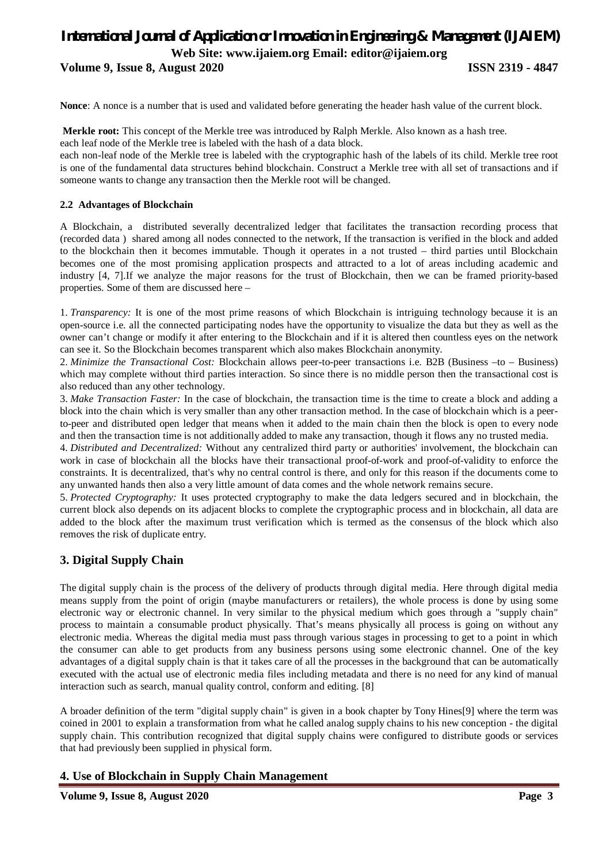# *International Journal of Application or Innovation in Engineering & Management (IJAIEM)* **Web Site: www.ijaiem.org Email: editor@ijaiem.org**

**Volume 9, Issue 8, August 2020 ISSN 2319 - 4847**

**Nonce**: A nonce is a number that is used and validated before generating the header hash value of the current block.

**Merkle root:** This concept of the Merkle tree was introduced by Ralph Merkle. Also known as a hash tree. each leaf node of the Merkle tree is labeled with the hash of a data block.

each non-leaf node of the Merkle tree is labeled with the cryptographic hash of the labels of its child. Merkle tree root is one of the fundamental data structures behind blockchain. Construct a Merkle tree with all set of transactions and if someone wants to change any transaction then the Merkle root will be changed.

#### **2.2 Advantages of Blockchain**

A Blockchain, a distributed severally decentralized ledger that facilitates the transaction recording process that (recorded data ) shared among all nodes connected to the network, If the transaction is verified in the block and added to the blockchain then it becomes immutable. Though it operates in a not trusted – third parties until Blockchain becomes one of the most promising application prospects and attracted to a lot of areas including academic and industry [4, 7].If we analyze the major reasons for the trust of Blockchain, then we can be framed priority-based properties. Some of them are discussed here –

1. *Transparency:* It is one of the most prime reasons of which Blockchain is intriguing technology because it is an open-source i.e. all the connected participating nodes have the opportunity to visualize the data but they as well as the owner can't change or modify it after entering to the Blockchain and if it is altered then countless eyes on the network can see it. So the Blockchain becomes transparent which also makes Blockchain anonymity.

2. *Minimize the Transactional Cost:* Blockchain allows peer-to-peer transactions i.e. B2B (Business –to – Business) which may complete without third parties interaction. So since there is no middle person then the transactional cost is also reduced than any other technology.

3. *Make Transaction Faster:* In the case of blockchain, the transaction time is the time to create a block and adding a block into the chain which is very smaller than any other transaction method. In the case of blockchain which is a peerto-peer and distributed open ledger that means when it added to the main chain then the block is open to every node and then the transaction time is not additionally added to make any transaction, though it flows any no trusted media.

4. *Distributed and Decentralized:* Without any centralized third party or authorities' involvement, the blockchain can work in case of blockchain all the blocks have their transactional proof-of-work and proof-of-validity to enforce the constraints. It is decentralized, that's why no central control is there, and only for this reason if the documents come to any unwanted hands then also a very little amount of data comes and the whole network remains secure.

5. *Protected Cryptography:* It uses protected cryptography to make the data ledgers secured and in blockchain, the current block also depends on its adjacent blocks to complete the cryptographic process and in blockchain, all data are added to the block after the maximum trust verification which is termed as the consensus of the block which also removes the risk of duplicate entry.

# **3. Digital Supply Chain**

The digital supply chain is the process of the delivery of products through digital media. Here through digital media means supply from the point of origin (maybe manufacturers or retailers), the whole process is done by using some electronic way or electronic channel. In very similar to the physical medium which goes through a "supply chain" process to maintain a consumable product physically. That's means physically all process is going on without any electronic media. Whereas the digital media must pass through various stages in processing to get to a point in which the consumer can able to get products from any business persons using some electronic channel. One of the key advantages of a digital supply chain is that it takes care of all the processes in the background that can be automatically executed with the actual use of electronic media files including metadata and there is no need for any kind of manual interaction such as search, manual quality control, conform and editing. [8]

A broader definition of the term "digital supply chain" is given in a book chapter by Tony Hines[9] where the term was coined in 2001 to explain a transformation from what he called analog supply chains to his new conception - the digital supply chain. This contribution recognized that digital supply chains were configured to distribute goods or services that had previously been supplied in physical form.

# **4. Use of Blockchain in Supply Chain Management**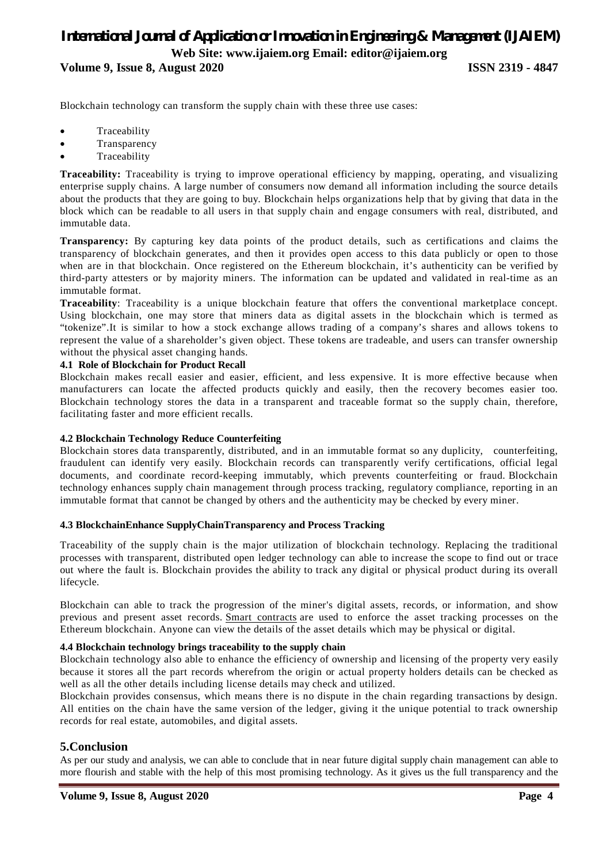# *International Journal of Application or Innovation in Engineering & Management (IJAIEM)* **Web Site: www.ijaiem.org Email: editor@ijaiem.org**

**Volume 9, Issue 8, August 2020 ISSN 2319 - 4847**

Blockchain technology can transform the supply chain with these three use cases:

- Traceability
- Transparency
- Traceability

**Traceability:** Traceability is trying to improve operational efficiency by mapping, operating, and visualizing enterprise supply chains. A large number of consumers now demand all information including the source details about the products that they are going to buy. Blockchain helps organizations help that by giving that data in the block which can be readable to all users in that supply chain and engage consumers with real, distributed, and immutable data.

**Transparency:** By capturing key data points of the product details, such as certifications and claims the transparency of blockchain generates, and then it provides open access to this data publicly or open to those when are in that blockchain. Once registered on the Ethereum blockchain, it's authenticity can be verified by third-party attesters or by majority miners. The information can be updated and validated in real-time as an immutable format.

**Traceability**: Traceability is a unique blockchain feature that offers the conventional marketplace concept. Using blockchain, one may store that miners data as digital assets in the blockchain which is termed as "tokenize".It is similar to how a stock exchange allows trading of a company's shares and allows tokens to represent the value of a shareholder's given object. These tokens are tradeable, and users can transfer ownership without the physical asset changing hands.

#### **4.1 Role of Blockchain for Product Recall**

Blockchain makes recall easier and easier, efficient, and less expensive. It is more effective because when manufacturers can locate the affected products quickly and easily, then the recovery becomes easier too. Blockchain technology stores the data in a transparent and traceable format so the supply chain, therefore, facilitating faster and more efficient recalls.

#### **4.2 Blockchain Technology Reduce Counterfeiting**

Blockchain stores data transparently, distributed, and in an immutable format so any duplicity, counterfeiting, fraudulent can identify very easily. Blockchain records can transparently verify certifications, official legal documents, and coordinate record-keeping immutably, which prevents counterfeiting or fraud. Blockchain technology enhances supply chain management through process tracking, regulatory compliance, reporting in an immutable format that cannot be changed by others and the authenticity may be checked by every miner.

#### **4.3 BlockchainEnhance SupplyChainTransparency and Process Tracking**

Traceability of the supply chain is the major utilization of blockchain technology. Replacing the traditional processes with transparent, distributed open ledger technology can able to increase the scope to find out or trace out where the fault is. Blockchain provides the ability to track any digital or physical product during its overall lifecycle.

Blockchain can able to track the progression of the miner's digital assets, records, or information, and show previous and present asset records. Smart contracts are used to enforce the asset tracking processes on the Ethereum blockchain. Anyone can view the details of the asset details which may be physical or digital.

#### **4.4 Blockchain technology brings traceability to the supply chain**

Blockchain technology also able to enhance the efficiency of ownership and licensing of the property very easily because it stores all the part records wherefrom the origin or actual property holders details can be checked as well as all the other details including license details may check and utilized.

Blockchain provides consensus, which means there is no dispute in the chain regarding transactions by design. All entities on the chain have the same version of the ledger, giving it the unique potential to track ownership records for real estate, automobiles, and digital assets.

### **5.Conclusion**

As per our study and analysis, we can able to conclude that in near future digital supply chain management can able to more flourish and stable with the help of this most promising technology. As it gives us the full transparency and the